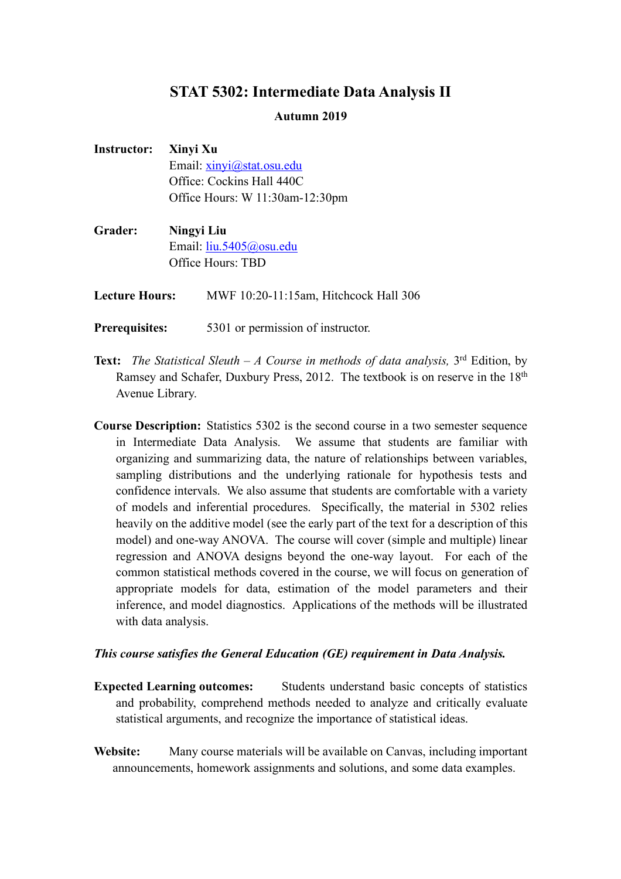## **STAT 5302: Intermediate Data Analysis II**

## **Autumn 2019**

| Instructor: Xinyi Xu |                                 |
|----------------------|---------------------------------|
|                      | Email: xinyi@stat.osu.edu       |
|                      | Office: Cockins Hall 440C       |
|                      | Office Hours: W 11:30am-12:30pm |

**Grader: Ningyi Liu** Email: liu.5405@osu.edu Office Hours: TBD

Lecture Hours: MWF 10:20-11:15am, Hitchcock Hall 306

- **Prerequisites:** 5301 or permission of instructor.
- **Text:** *The Statistical Sleuth – A Course in methods of data analysis,* 3rd Edition, by Ramsey and Schafer, Duxbury Press, 2012. The textbook is on reserve in the 18<sup>th</sup> Avenue Library.
- **Course Description:** Statistics 5302 is the second course in a two semester sequence in Intermediate Data Analysis. We assume that students are familiar with organizing and summarizing data, the nature of relationships between variables, sampling distributions and the underlying rationale for hypothesis tests and confidence intervals. We also assume that students are comfortable with a variety of models and inferential procedures. Specifically, the material in 5302 relies heavily on the additive model (see the early part of the text for a description of this model) and one-way ANOVA. The course will cover (simple and multiple) linear regression and ANOVA designs beyond the one-way layout. For each of the common statistical methods covered in the course, we will focus on generation of appropriate models for data, estimation of the model parameters and their inference, and model diagnostics. Applications of the methods will be illustrated with data analysis.

## *This course satisfies the General Education (GE) requirement in Data Analysis.*

- **Expected Learning outcomes:** Students understand basic concepts of statistics and probability, comprehend methods needed to analyze and critically evaluate statistical arguments, and recognize the importance of statistical ideas.
- **Website:** Many course materials will be available on Canvas, including important announcements, homework assignments and solutions, and some data examples.